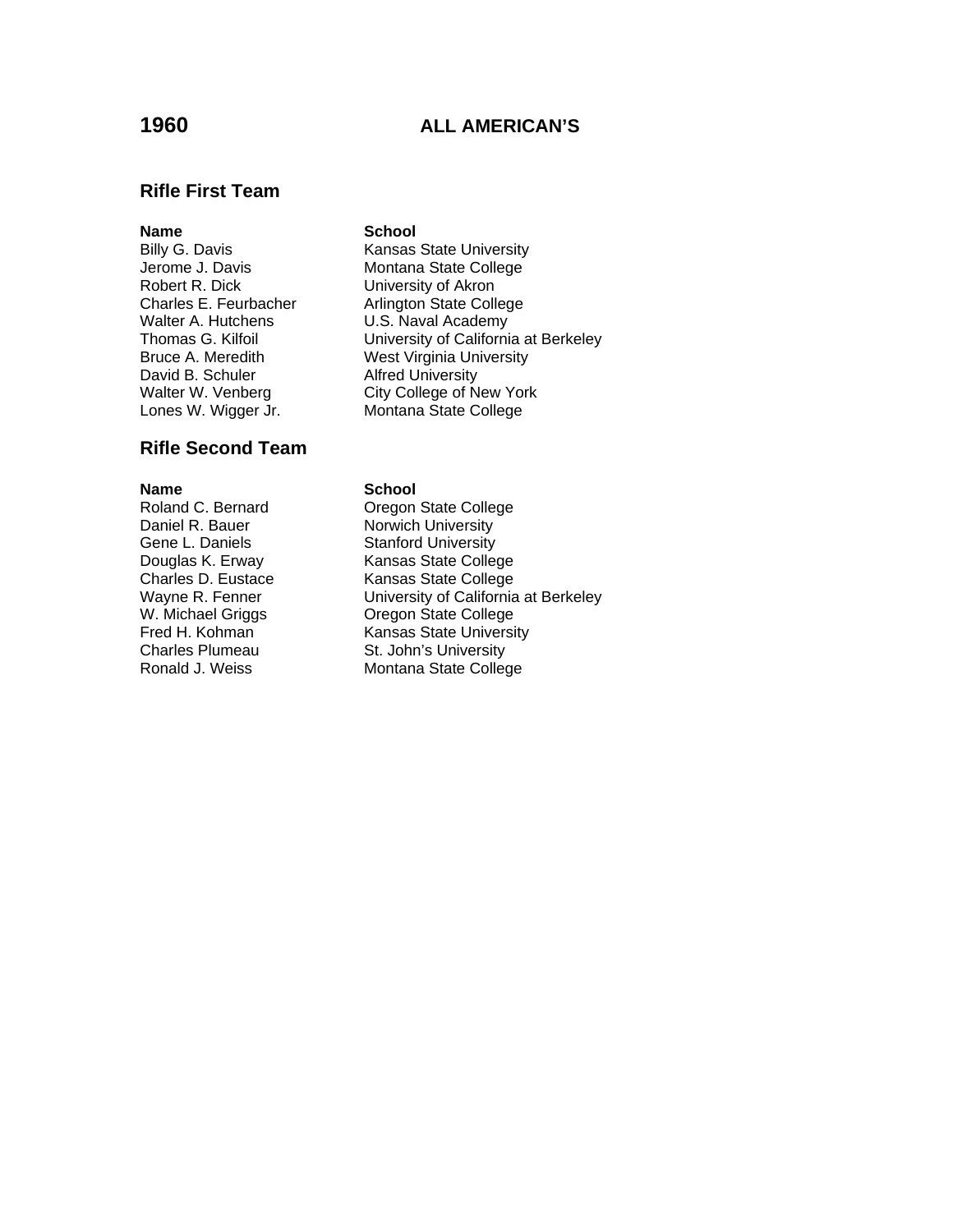# **1960 ALL AMERICAN'S**

## **Rifle First Team**

# Walter A. Hutchens **U.S. Naval Academy** David B. Schuler **Alfred University**

## **Rifle Second Team**

**Name School**<br> **Roland C. Bernard C. Degon** Daniel R. Bauer Norwich University Gene L. Daniels **Stanford University** 

## **Name** School

Billy G. Davis **Kansas State University** Jerome J. Davis<br>
Robert R. Dick<br>
Hobert R. Dick<br>
University of Akron University of Akron Charles E. Feurbacher **Arlington State College** Thomas G. Kilfoil University of California at Berkeley Bruce A. Meredith West Virginia University Walter W. Venberg City College of New York Lones W. Wigger Jr. Montana State College

**Oregon State College** Douglas K. Erway Kansas State College Charles D. Eustace Kansas State College Wayne R. Fenner **University of California at Berkeley** W. Michael Griggs<br>
Fred H. Kohman Kansas State Universi Fred H. Kohman Kansas State University<br>
Charles Plumeau St. John's University St. John's University Ronald J. Weiss Montana State College